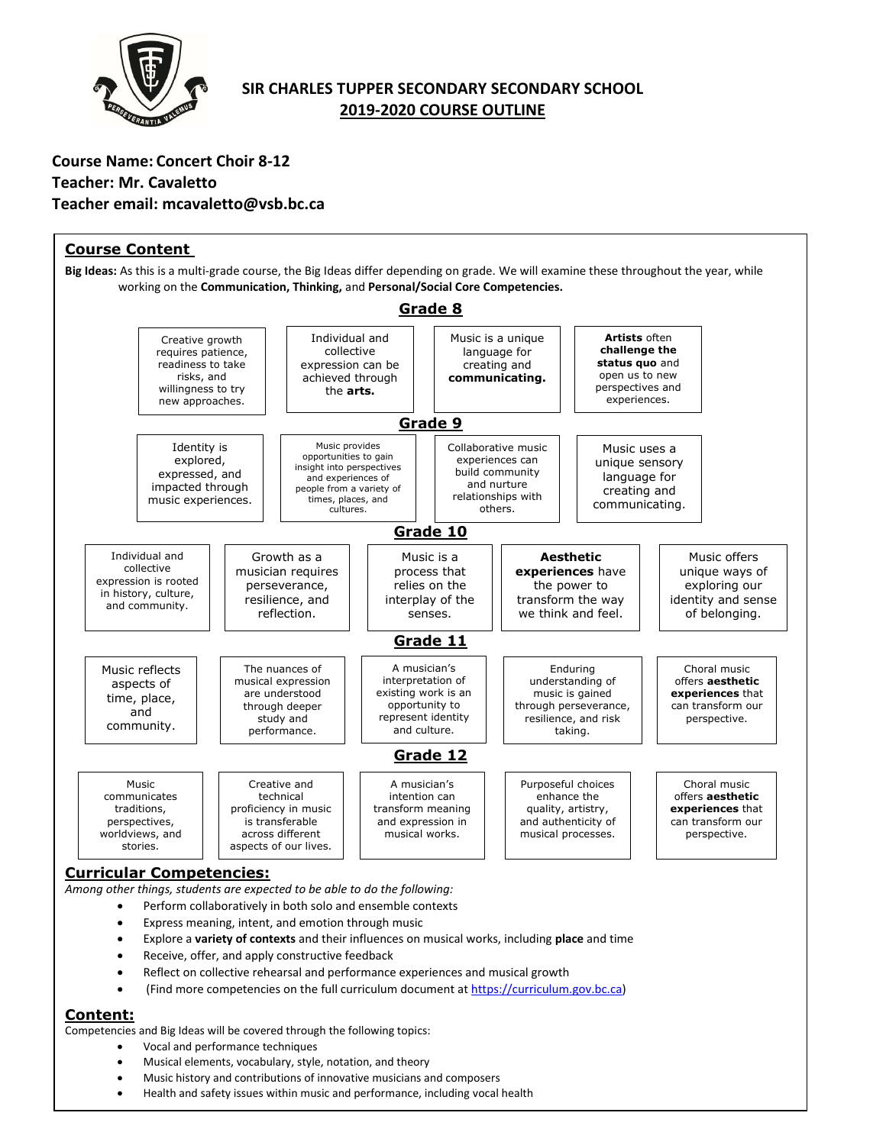

# **SIR CHARLES TUPPER SECONDARY SECONDARY SCHOOL 2019-2020 COURSE OUTLINE**

# **Course Name: Concert Choir 8-12 Teacher: Mr. Cavaletto Teacher email: mcavaletto@vsb.bc.ca**



# **Content:**

Competencies and Big Ideas will be covered through the following topics:

- Vocal and performance techniques
- Musical elements, vocabulary, style, notation, and theory
- Music history and contributions of innovative musicians and composers
- Health and safety issues within music and performance, including vocal health